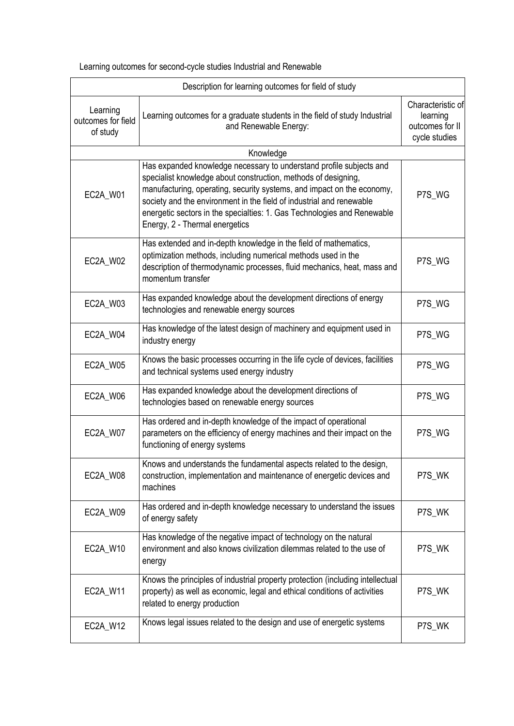Learning outcomes for second-cycle studies Industrial and Renewable

| Description for learning outcomes for field of study |                                                                                                                                                                                                                                                                                                                                                                                                      |                                                                   |  |  |
|------------------------------------------------------|------------------------------------------------------------------------------------------------------------------------------------------------------------------------------------------------------------------------------------------------------------------------------------------------------------------------------------------------------------------------------------------------------|-------------------------------------------------------------------|--|--|
| Learning<br>outcomes for field<br>of study           | Learning outcomes for a graduate students in the field of study Industrial<br>and Renewable Energy:                                                                                                                                                                                                                                                                                                  | Characteristic of<br>learning<br>outcomes for II<br>cycle studies |  |  |
|                                                      | Knowledge                                                                                                                                                                                                                                                                                                                                                                                            |                                                                   |  |  |
| EC2A_W01                                             | Has expanded knowledge necessary to understand profile subjects and<br>specialist knowledge about construction, methods of designing,<br>manufacturing, operating, security systems, and impact on the economy,<br>society and the environment in the field of industrial and renewable<br>energetic sectors in the specialties: 1. Gas Technologies and Renewable<br>Energy, 2 - Thermal energetics | P7S_WG                                                            |  |  |
| EC2A W02                                             | Has extended and in-depth knowledge in the field of mathematics,<br>optimization methods, including numerical methods used in the<br>description of thermodynamic processes, fluid mechanics, heat, mass and<br>momentum transfer                                                                                                                                                                    | P7S WG                                                            |  |  |
| EC2A_W03                                             | Has expanded knowledge about the development directions of energy<br>technologies and renewable energy sources                                                                                                                                                                                                                                                                                       | P7S_WG                                                            |  |  |
| EC2A_W04                                             | Has knowledge of the latest design of machinery and equipment used in<br>industry energy                                                                                                                                                                                                                                                                                                             | P7S_WG                                                            |  |  |
| EC2A_W05                                             | Knows the basic processes occurring in the life cycle of devices, facilities<br>and technical systems used energy industry                                                                                                                                                                                                                                                                           | P7S_WG                                                            |  |  |
| EC2A_W06                                             | Has expanded knowledge about the development directions of<br>technologies based on renewable energy sources                                                                                                                                                                                                                                                                                         | P7S_WG                                                            |  |  |
| EC2A_W07                                             | Has ordered and in-depth knowledge of the impact of operational<br>parameters on the efficiency of energy machines and their impact on the<br>functioning of energy systems                                                                                                                                                                                                                          | P7S_WG                                                            |  |  |
| EC2A_W08                                             | Knows and understands the fundamental aspects related to the design,<br>construction, implementation and maintenance of energetic devices and<br>machines                                                                                                                                                                                                                                            | P7S_WK                                                            |  |  |
| EC2A_W09                                             | Has ordered and in-depth knowledge necessary to understand the issues<br>of energy safety                                                                                                                                                                                                                                                                                                            | P7S_WK                                                            |  |  |
| EC2A_W10                                             | Has knowledge of the negative impact of technology on the natural<br>environment and also knows civilization dilemmas related to the use of<br>energy                                                                                                                                                                                                                                                | P7S_WK                                                            |  |  |
| EC2A_W11                                             | Knows the principles of industrial property protection (including intellectual<br>property) as well as economic, legal and ethical conditions of activities<br>related to energy production                                                                                                                                                                                                          | P7S_WK                                                            |  |  |
| EC2A_W12                                             | Knows legal issues related to the design and use of energetic systems                                                                                                                                                                                                                                                                                                                                | P7S_WK                                                            |  |  |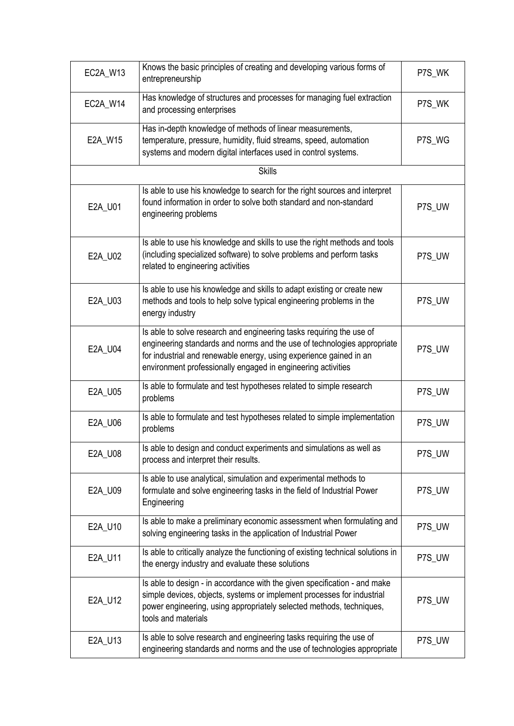| EC2A_W13      | Knows the basic principles of creating and developing various forms of<br>entrepreneurship                                                                                                                                                                                            | P7S_WK |  |  |
|---------------|---------------------------------------------------------------------------------------------------------------------------------------------------------------------------------------------------------------------------------------------------------------------------------------|--------|--|--|
| EC2A_W14      | Has knowledge of structures and processes for managing fuel extraction<br>and processing enterprises                                                                                                                                                                                  | P7S_WK |  |  |
| E2A_W15       | Has in-depth knowledge of methods of linear measurements,<br>temperature, pressure, humidity, fluid streams, speed, automation<br>systems and modern digital interfaces used in control systems.                                                                                      | P7S_WG |  |  |
| <b>Skills</b> |                                                                                                                                                                                                                                                                                       |        |  |  |
| E2A_U01       | Is able to use his knowledge to search for the right sources and interpret<br>found information in order to solve both standard and non-standard<br>engineering problems                                                                                                              | P7S_UW |  |  |
| E2A_U02       | Is able to use his knowledge and skills to use the right methods and tools<br>(including specialized software) to solve problems and perform tasks<br>related to engineering activities                                                                                               | P7S_UW |  |  |
| E2A_U03       | Is able to use his knowledge and skills to adapt existing or create new<br>methods and tools to help solve typical engineering problems in the<br>energy industry                                                                                                                     | P7S_UW |  |  |
| E2A_U04       | Is able to solve research and engineering tasks requiring the use of<br>engineering standards and norms and the use of technologies appropriate<br>for industrial and renewable energy, using experience gained in an<br>environment professionally engaged in engineering activities | P7S_UW |  |  |
| E2A_U05       | Is able to formulate and test hypotheses related to simple research<br>problems                                                                                                                                                                                                       | P7S_UW |  |  |
| E2A_U06       | Is able to formulate and test hypotheses related to simple implementation<br>problems                                                                                                                                                                                                 | P7S_UW |  |  |
| E2A_U08       | Is able to design and conduct experiments and simulations as well as<br>process and interpret their results.                                                                                                                                                                          | P7S UW |  |  |
| E2A_U09       | Is able to use analytical, simulation and experimental methods to<br>formulate and solve engineering tasks in the field of Industrial Power<br>Engineering                                                                                                                            | P7S UW |  |  |
| E2A_U10       | Is able to make a preliminary economic assessment when formulating and<br>solving engineering tasks in the application of Industrial Power                                                                                                                                            | P7S_UW |  |  |
| E2A_U11       | Is able to critically analyze the functioning of existing technical solutions in<br>the energy industry and evaluate these solutions                                                                                                                                                  | P7S_UW |  |  |
| E2A_U12       | Is able to design - in accordance with the given specification - and make<br>simple devices, objects, systems or implement processes for industrial<br>power engineering, using appropriately selected methods, techniques,<br>tools and materials                                    | P7S_UW |  |  |
| E2A_U13       | Is able to solve research and engineering tasks requiring the use of<br>engineering standards and norms and the use of technologies appropriate                                                                                                                                       | P7S_UW |  |  |